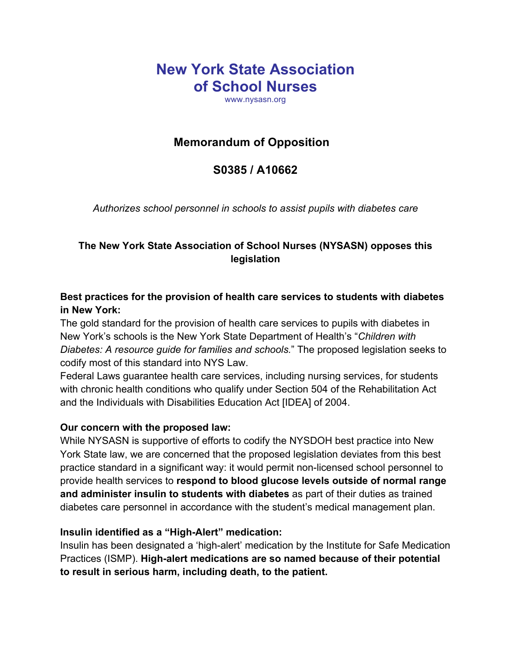# **New York State Association of School Nurses**

www.nysasn.org

## **Memorandum of Opposition**

## **S0385 / A10662**

*Authorizes school personnel in schools to assist pupils with diabetes care*

#### **The New York State Association of School Nurses (NYSASN) opposes this legislation**

### **Best practices for the provision of health care services to students with diabetes in New York:**

The gold standard for the provision of health care services to pupils with diabetes in New York's schools is the New York State Department of Health's "*Children with Diabetes: A resource guide for families and schools.*" The proposed legislation seeks to codify most of this standard into NYS Law.

Federal Laws guarantee health care services, including nursing services, for students with chronic health conditions who qualify under Section 504 of the Rehabilitation Act and the Individuals with Disabilities Education Act [IDEA] of 2004.

#### **Our concern with the proposed law:**

While NYSASN is supportive of efforts to codify the NYSDOH best practice into New York State law, we are concerned that the proposed legislation deviates from this best practice standard in a significant way: it would permit non-licensed school personnel to provide health services to **respond to blood glucose levels outside of normal range and administer insulin to students with diabetes** as part of their duties as trained diabetes care personnel in accordance with the student's medical management plan.

#### **Insulin identified as a "High-Alert" medication:**

Insulin has been designated a 'high-alert' medication by the Institute for Safe Medication Practices (ISMP). **High-alert medications are so named because of their potential to result in serious harm, including death, to the patient.**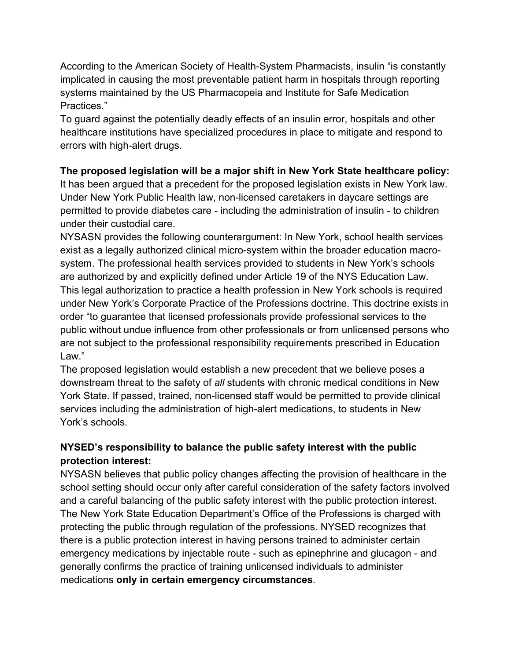According to the American Society of Health-System Pharmacists, insulin "is constantly implicated in causing the most preventable patient harm in hospitals through reporting systems maintained by the US Pharmacopeia and Institute for Safe Medication Practices."

To guard against the potentially deadly effects of an insulin error, hospitals and other healthcare institutions have specialized procedures in place to mitigate and respond to errors with high-alert drugs.

#### **The proposed legislation will be a major shift in New York State healthcare policy:**

It has been argued that a precedent for the proposed legislation exists in New York law. Under New York Public Health law, non-licensed caretakers in daycare settings are permitted to provide diabetes care - including the administration of insulin - to children under their custodial care.

NYSASN provides the following counterargument: In New York, school health services exist as a legally authorized clinical micro-system within the broader education macrosystem. The professional health services provided to students in New York's schools are authorized by and explicitly defined under Article 19 of the NYS Education Law. This legal authorization to practice a health profession in New York schools is required under New York's Corporate Practice of the Professions doctrine. This doctrine exists in order "to guarantee that licensed professionals provide professional services to the public without undue influence from other professionals or from unlicensed persons who are not subject to the professional responsibility requirements prescribed in Education Law."

The proposed legislation would establish a new precedent that we believe poses a downstream threat to the safety of *all* students with chronic medical conditions in New York State. If passed, trained, non-licensed staff would be permitted to provide clinical services including the administration of high-alert medications, to students in New York's schools.

#### **NYSED's responsibility to balance the public safety interest with the public protection interest:**

NYSASN believes that public policy changes affecting the provision of healthcare in the school setting should occur only after careful consideration of the safety factors involved and a careful balancing of the public safety interest with the public protection interest. The New York State Education Department's Office of the Professions is charged with protecting the public through regulation of the professions. NYSED recognizes that there is a public protection interest in having persons trained to administer certain emergency medications by injectable route - such as epinephrine and glucagon - and generally confirms the practice of training unlicensed individuals to administer medications **only in certain emergency circumstances**.